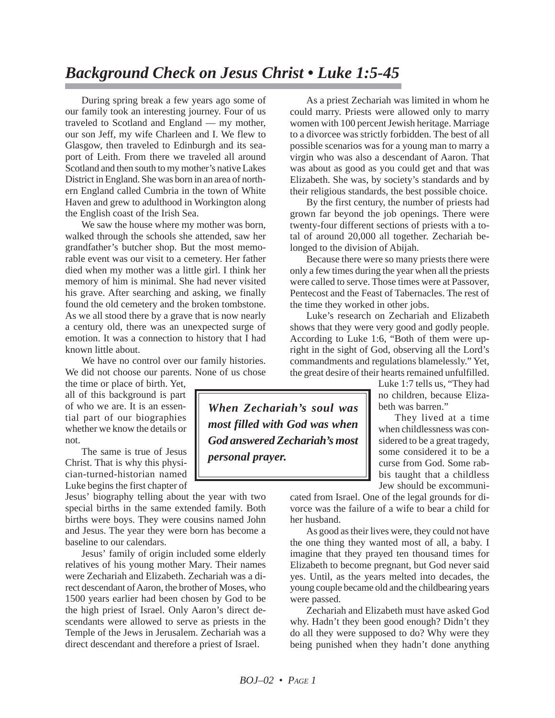## *Background Check on Jesus Christ • Luke 1:5-45*

During spring break a few years ago some of our family took an interesting journey. Four of us traveled to Scotland and England — my mother, our son Jeff, my wife Charleen and I. We flew to Glasgow, then traveled to Edinburgh and its seaport of Leith. From there we traveled all around Scotland and then south to my mother's native Lakes District in England. She was born in an area of northern England called Cumbria in the town of White Haven and grew to adulthood in Workington along the English coast of the Irish Sea.

We saw the house where my mother was born, walked through the schools she attended, saw her grandfather's butcher shop. But the most memorable event was our visit to a cemetery. Her father died when my mother was a little girl. I think her memory of him is minimal. She had never visited his grave. After searching and asking, we finally found the old cemetery and the broken tombstone. As we all stood there by a grave that is now nearly a century old, there was an unexpected surge of emotion. It was a connection to history that I had known little about.

We have no control over our family histories. We did not choose our parents. None of us chose

the time or place of birth. Yet, all of this background is part of who we are. It is an essential part of our biographies whether we know the details or not.

The same is true of Jesus Christ. That is why this physician-turned-historian named Luke begins the first chapter of

Jesus' biography telling about the year with two special births in the same extended family. Both births were boys. They were cousins named John and Jesus. The year they were born has become a baseline to our calendars.

Jesus' family of origin included some elderly relatives of his young mother Mary. Their names were Zechariah and Elizabeth. Zechariah was a direct descendant of Aaron, the brother of Moses, who 1500 years earlier had been chosen by God to be the high priest of Israel. Only Aaron's direct descendants were allowed to serve as priests in the Temple of the Jews in Jerusalem. Zechariah was a direct descendant and therefore a priest of Israel.

As a priest Zechariah was limited in whom he could marry. Priests were allowed only to marry women with 100 percent Jewish heritage. Marriage to a divorcee was strictly forbidden. The best of all possible scenarios was for a young man to marry a virgin who was also a descendant of Aaron. That was about as good as you could get and that was Elizabeth. She was, by society's standards and by their religious standards, the best possible choice.

By the first century, the number of priests had grown far beyond the job openings. There were twenty-four different sections of priests with a total of around 20,000 all together. Zechariah belonged to the division of Abijah.

Because there were so many priests there were only a few times during the year when all the priests were called to serve. Those times were at Passover, Pentecost and the Feast of Tabernacles. The rest of the time they worked in other jobs.

Luke's research on Zechariah and Elizabeth shows that they were very good and godly people. According to Luke 1:6, "Both of them were upright in the sight of God, observing all the Lord's commandments and regulations blamelessly." Yet, the great desire of their hearts remained unfulfilled.

> Luke 1:7 tells us, "They had no children, because Elizabeth was barren."

They lived at a time when childlessness was considered to be a great tragedy, some considered it to be a curse from God. Some rabbis taught that a childless Jew should be excommuni-

cated from Israel. One of the legal grounds for divorce was the failure of a wife to bear a child for her husband.

As good as their lives were, they could not have the one thing they wanted most of all, a baby. I imagine that they prayed ten thousand times for Elizabeth to become pregnant, but God never said yes. Until, as the years melted into decades, the young couple became old and the childbearing years were passed.

Zechariah and Elizabeth must have asked God why. Hadn't they been good enough? Didn't they do all they were supposed to do? Why were they being punished when they hadn't done anything

*When Zechariah's soul was most filled with God was when God answered Zechariah's most personal prayer.*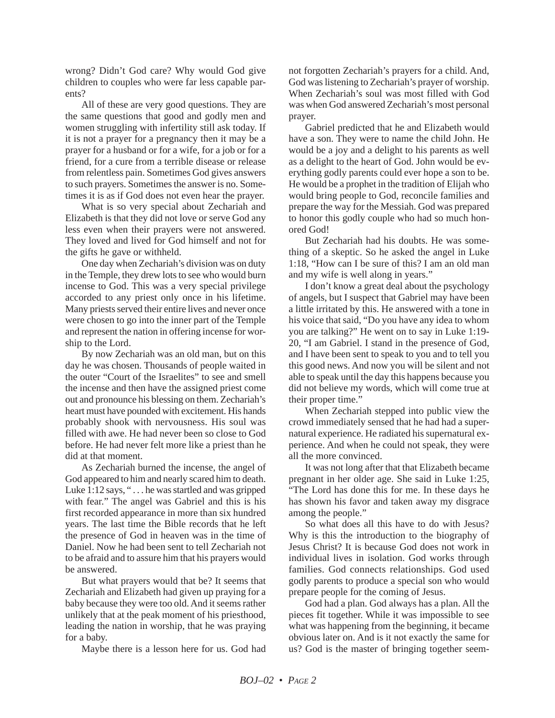wrong? Didn't God care? Why would God give children to couples who were far less capable parents?

All of these are very good questions. They are the same questions that good and godly men and women struggling with infertility still ask today. If it is not a prayer for a pregnancy then it may be a prayer for a husband or for a wife, for a job or for a friend, for a cure from a terrible disease or release from relentless pain. Sometimes God gives answers to such prayers. Sometimes the answer is no. Sometimes it is as if God does not even hear the prayer.

What is so very special about Zechariah and Elizabeth is that they did not love or serve God any less even when their prayers were not answered. They loved and lived for God himself and not for the gifts he gave or withheld.

One day when Zechariah's division was on duty in the Temple, they drew lots to see who would burn incense to God. This was a very special privilege accorded to any priest only once in his lifetime. Many priests served their entire lives and never once were chosen to go into the inner part of the Temple and represent the nation in offering incense for worship to the Lord.

By now Zechariah was an old man, but on this day he was chosen. Thousands of people waited in the outer "Court of the Israelites" to see and smell the incense and then have the assigned priest come out and pronounce his blessing on them. Zechariah's heart must have pounded with excitement. His hands probably shook with nervousness. His soul was filled with awe. He had never been so close to God before. He had never felt more like a priest than he did at that moment.

As Zechariah burned the incense, the angel of God appeared to him and nearly scared him to death. Luke 1:12 says, "... he was startled and was gripped with fear." The angel was Gabriel and this is his first recorded appearance in more than six hundred years. The last time the Bible records that he left the presence of God in heaven was in the time of Daniel. Now he had been sent to tell Zechariah not to be afraid and to assure him that his prayers would be answered.

But what prayers would that be? It seems that Zechariah and Elizabeth had given up praying for a baby because they were too old. And it seems rather unlikely that at the peak moment of his priesthood, leading the nation in worship, that he was praying for a baby.

Maybe there is a lesson here for us. God had

not forgotten Zechariah's prayers for a child. And, God was listening to Zechariah's prayer of worship. When Zechariah's soul was most filled with God was when God answered Zechariah's most personal prayer.

Gabriel predicted that he and Elizabeth would have a son. They were to name the child John. He would be a joy and a delight to his parents as well as a delight to the heart of God. John would be everything godly parents could ever hope a son to be. He would be a prophet in the tradition of Elijah who would bring people to God, reconcile families and prepare the way for the Messiah. God was prepared to honor this godly couple who had so much honored God!

But Zechariah had his doubts. He was something of a skeptic. So he asked the angel in Luke 1:18, "How can I be sure of this? I am an old man and my wife is well along in years."

I don't know a great deal about the psychology of angels, but I suspect that Gabriel may have been a little irritated by this. He answered with a tone in his voice that said, "Do you have any idea to whom you are talking?" He went on to say in Luke 1:19- 20, "I am Gabriel. I stand in the presence of God, and I have been sent to speak to you and to tell you this good news. And now you will be silent and not able to speak until the day this happens because you did not believe my words, which will come true at their proper time."

When Zechariah stepped into public view the crowd immediately sensed that he had had a supernatural experience. He radiated his supernatural experience. And when he could not speak, they were all the more convinced.

It was not long after that that Elizabeth became pregnant in her older age. She said in Luke 1:25, "The Lord has done this for me. In these days he has shown his favor and taken away my disgrace among the people."

So what does all this have to do with Jesus? Why is this the introduction to the biography of Jesus Christ? It is because God does not work in individual lives in isolation. God works through families. God connects relationships. God used godly parents to produce a special son who would prepare people for the coming of Jesus.

God had a plan. God always has a plan. All the pieces fit together. While it was impossible to see what was happening from the beginning, it became obvious later on. And is it not exactly the same for us? God is the master of bringing together seem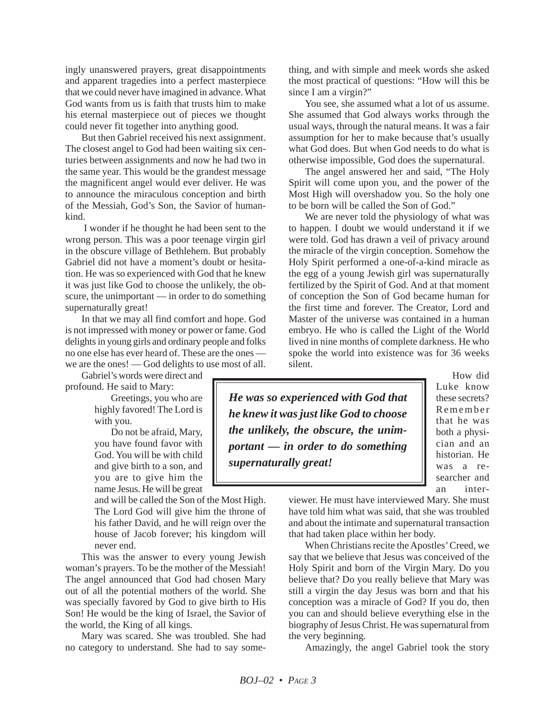ingly unanswered prayers, great disappointments and apparent tragedies into a perfect masterpiece that we could never have imagined in advance. What God wants from us is faith that trusts him to make his eternal masterpiece out of pieces we thought could never fit together into anything good.

But then Gabriel received his next assignment. The closest angel to God had been waiting six centuries between assignments and now he had two in the same year. This would be the grandest message the magnificent angel would ever deliver. He was to announce the miraculous conception and birth of the Messiah, God's Son, the Savior of humankind.

I wonder if he thought he had been sent to the wrong person. This was a poor teenage virgin girl in the obscure village of Bethlehem. But probably Gabriel did not have a moment's doubt or hesitation. He was so experienced with God that he knew it was just like God to choose the unlikely, the obscure, the unimportant — in order to do something supernaturally great!

In that we may all find comfort and hope. God is not impressed with money or power or fame. God delights in young girls and ordinary people and folks no one else has ever heard of. These are the ones we are the ones! — God delights to use most of all.

Gabriel's words were direct and profound. He said to Mary:

> Greetings, you who are highly favored! The Lord is with you.

> Do not be afraid, Mary, you have found favor with God. You will be with child and give birth to a son, and you are to give him the name Jesus. He will be great

and will be called the Son of the Most High. The Lord God will give him the throne of his father David, and he will reign over the house of Jacob forever; his kingdom will never end.

This was the answer to every young Jewish woman's prayers. To be the mother of the Messiah! The angel announced that God had chosen Mary out of all the potential mothers of the world. She was specially favored by God to give birth to His Son! He would be the king of Israel, the Savior of the world, the King of all kings.

Mary was scared. She was troubled. She had no category to understand. She had to say something, and with simple and meek words she asked the most practical of questions: "How will this be since I am a virgin?"

You see, she assumed what a lot of us assume. She assumed that God always works through the usual ways, through the natural means. It was a fair assumption for her to make because that's usually what God does. But when God needs to do what is otherwise impossible, God does the supernatural.

The angel answered her and said, "The Holy Spirit will come upon you, and the power of the Most High will overshadow you. So the holy one to be born will be called the Son of God."

We are never told the physiology of what was to happen. I doubt we would understand it if we were told. God has drawn a veil of privacy around the miracle of the virgin conception. Somehow the Holy Spirit performed a one-of-a-kind miracle as the egg of a young Jewish girl was supernaturally fertilized by the Spirit of God. And at that moment of conception the Son of God became human for the first time and forever. The Creator, Lord and Master of the universe was contained in a human embryo. He who is called the Light of the World lived in nine months of complete darkness. He who spoke the world into existence was for 36 weeks silent.

> How did Luke know these secrets? Remember that he was both a physician and an historian. He was a researcher and an inter-

*He was so experienced with God that he knew it was just like God to choose the unlikely, the obscure, the unimportant — in order to do something supernaturally great!*

> viewer. He must have interviewed Mary. She must have told him what was said, that she was troubled and about the intimate and supernatural transaction that had taken place within her body.

> When Christians recite the Apostles' Creed, we say that we believe that Jesus was conceived of the Holy Spirit and born of the Virgin Mary. Do you believe that? Do you really believe that Mary was still a virgin the day Jesus was born and that his conception was a miracle of God? If you do, then you can and should believe everything else in the biography of Jesus Christ. He was supernatural from the very beginning.

Amazingly, the angel Gabriel took the story